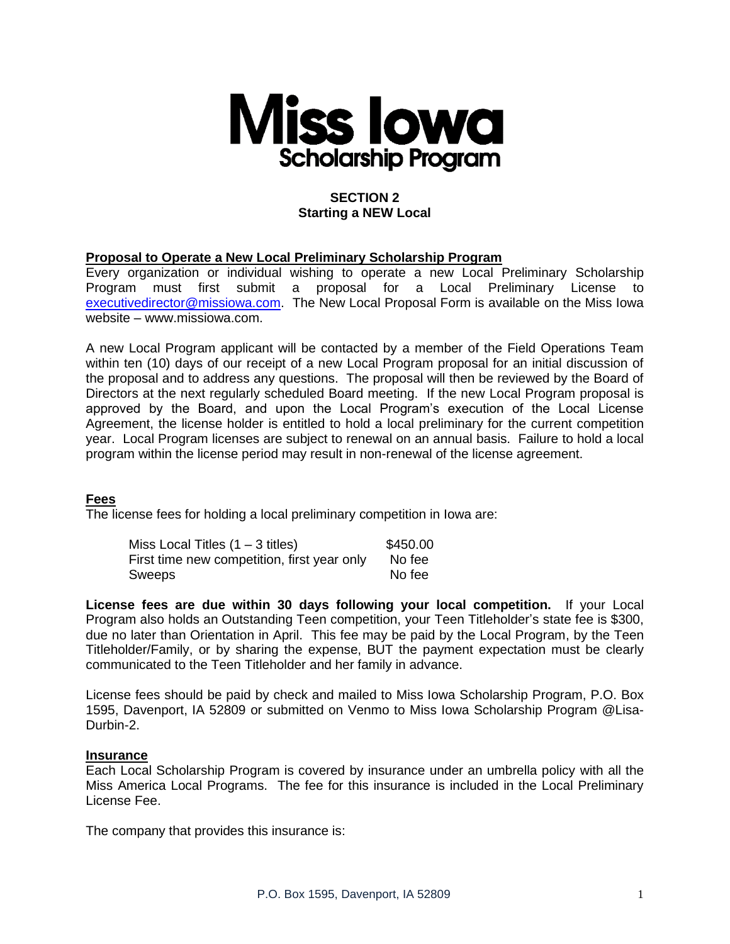

# **SECTION 2 Starting a NEW Local**

### **Proposal to Operate a New Local Preliminary Scholarship Program**

Every organization or individual wishing to operate a new Local Preliminary Scholarship Program must first submit a proposal for a Local Preliminary License to [executivedirector@missiowa.com.](mailto:executivedirector@missiowa.com) The New Local Proposal Form is available on the Miss Iowa website – www.missiowa.com.

A new Local Program applicant will be contacted by a member of the Field Operations Team within ten (10) days of our receipt of a new Local Program proposal for an initial discussion of the proposal and to address any questions. The proposal will then be reviewed by the Board of Directors at the next regularly scheduled Board meeting. If the new Local Program proposal is approved by the Board, and upon the Local Program's execution of the Local License Agreement, the license holder is entitled to hold a local preliminary for the current competition year. Local Program licenses are subject to renewal on an annual basis. Failure to hold a local program within the license period may result in non-renewal of the license agreement.

### **Fees**

The license fees for holding a local preliminary competition in Iowa are:

| Miss Local Titles $(1 - 3$ titles)          | \$450.00 |
|---------------------------------------------|----------|
| First time new competition, first year only | No fee   |
| Sweeps                                      | No fee   |

**License fees are due within 30 days following your local competition.** If your Local Program also holds an Outstanding Teen competition, your Teen Titleholder's state fee is \$300, due no later than Orientation in April. This fee may be paid by the Local Program, by the Teen Titleholder/Family, or by sharing the expense, BUT the payment expectation must be clearly communicated to the Teen Titleholder and her family in advance.

License fees should be paid by check and mailed to Miss Iowa Scholarship Program, P.O. Box 1595, Davenport, IA 52809 or submitted on Venmo to Miss Iowa Scholarship Program @Lisa-Durhin-2

#### **Insurance**

Each Local Scholarship Program is covered by insurance under an umbrella policy with all the Miss America Local Programs. The fee for this insurance is included in the Local Preliminary License Fee.

The company that provides this insurance is: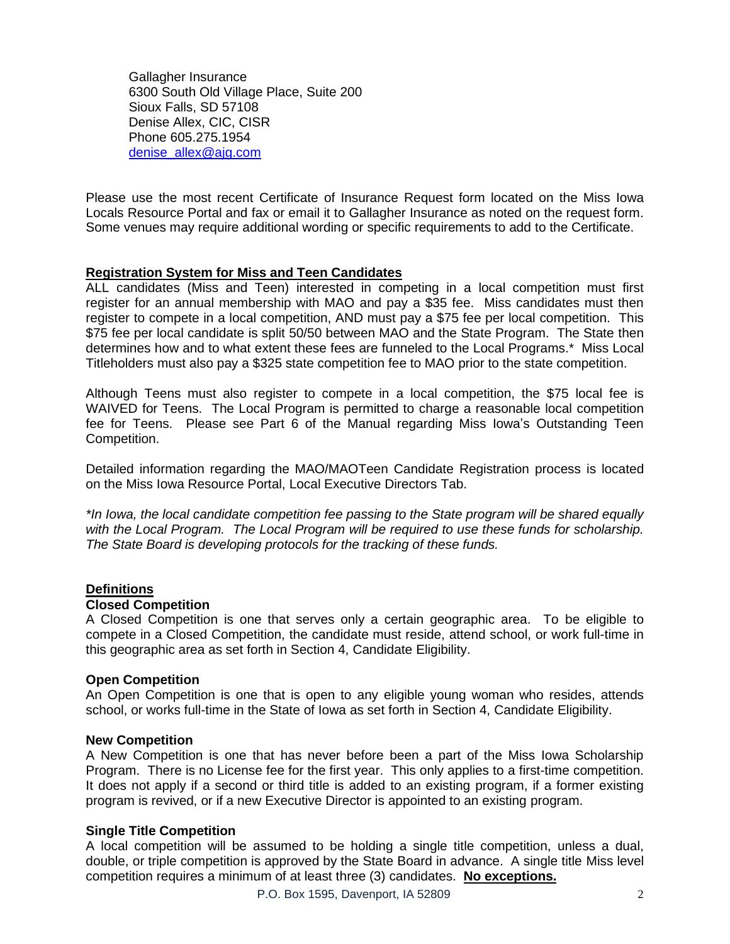Gallagher Insurance 6300 South Old Village Place, Suite 200 Sioux Falls, SD 57108 Denise Allex, CIC, CISR Phone 605.275.1954 [denise\\_allex@ajg.com](mailto:denise_allex@ajg.com)

Please use the most recent Certificate of Insurance Request form located on the Miss Iowa Locals Resource Portal and fax or email it to Gallagher Insurance as noted on the request form. Some venues may require additional wording or specific requirements to add to the Certificate.

### **Registration System for Miss and Teen Candidates**

ALL candidates (Miss and Teen) interested in competing in a local competition must first register for an annual membership with MAO and pay a \$35 fee. Miss candidates must then register to compete in a local competition, AND must pay a \$75 fee per local competition. This \$75 fee per local candidate is split 50/50 between MAO and the State Program. The State then determines how and to what extent these fees are funneled to the Local Programs.\* Miss Local Titleholders must also pay a \$325 state competition fee to MAO prior to the state competition.

Although Teens must also register to compete in a local competition, the \$75 local fee is WAIVED for Teens. The Local Program is permitted to charge a reasonable local competition fee for Teens. Please see Part 6 of the Manual regarding Miss Iowa's Outstanding Teen Competition.

Detailed information regarding the MAO/MAOTeen Candidate Registration process is located on the Miss Iowa Resource Portal, Local Executive Directors Tab.

*\*In Iowa, the local candidate competition fee passing to the State program will be shared equally with the Local Program. The Local Program will be required to use these funds for scholarship. The State Board is developing protocols for the tracking of these funds.*

## **Definitions**

### **Closed Competition**

A Closed Competition is one that serves only a certain geographic area. To be eligible to compete in a Closed Competition, the candidate must reside, attend school, or work full-time in this geographic area as set forth in Section 4, Candidate Eligibility.

### **Open Competition**

An Open Competition is one that is open to any eligible young woman who resides, attends school, or works full-time in the State of Iowa as set forth in Section 4, Candidate Eligibility.

### **New Competition**

A New Competition is one that has never before been a part of the Miss Iowa Scholarship Program. There is no License fee for the first year. This only applies to a first-time competition. It does not apply if a second or third title is added to an existing program, if a former existing program is revived, or if a new Executive Director is appointed to an existing program.

### **Single Title Competition**

A local competition will be assumed to be holding a single title competition, unless a dual, double, or triple competition is approved by the State Board in advance. A single title Miss level competition requires a minimum of at least three (3) candidates. **No exceptions.**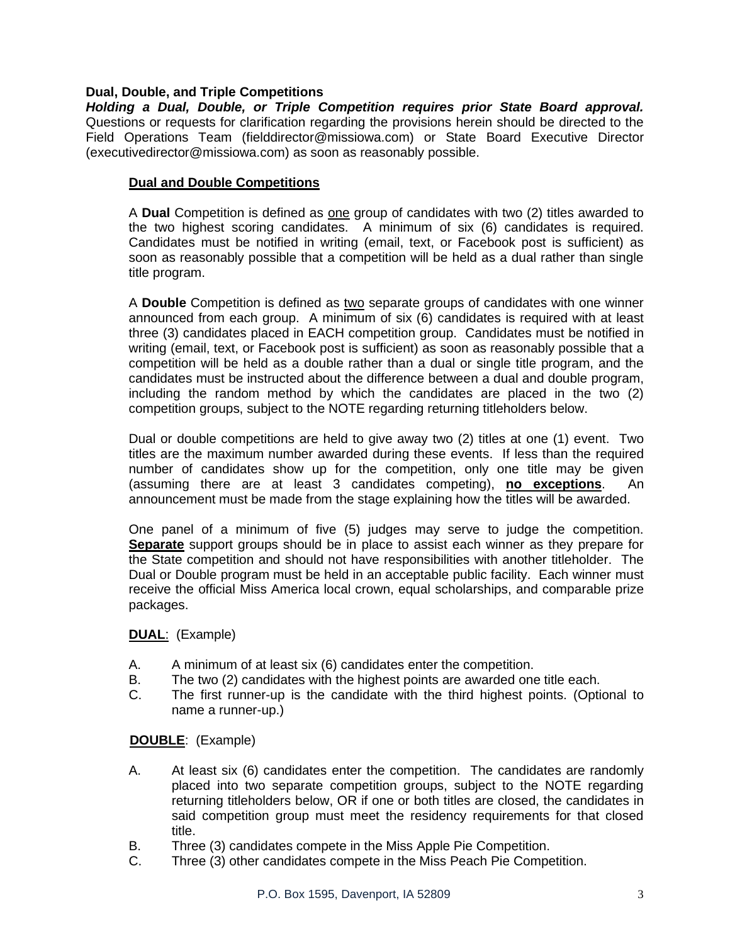### **Dual, Double, and Triple Competitions**

*Holding a Dual, Double, or Triple Competition requires prior State Board approval.* Questions or requests for clarification regarding the provisions herein should be directed to the Field Operations Team (fielddirector@missiowa.com) or State Board Executive Director (executivedirector@missiowa.com) as soon as reasonably possible.

### **Dual and Double Competitions**

A **Dual** Competition is defined as one group of candidates with two (2) titles awarded to the two highest scoring candidates. A minimum of six (6) candidates is required. Candidates must be notified in writing (email, text, or Facebook post is sufficient) as soon as reasonably possible that a competition will be held as a dual rather than single title program.

A **Double** Competition is defined as two separate groups of candidates with one winner announced from each group. A minimum of six (6) candidates is required with at least three (3) candidates placed in EACH competition group. Candidates must be notified in writing (email, text, or Facebook post is sufficient) as soon as reasonably possible that a competition will be held as a double rather than a dual or single title program, and the candidates must be instructed about the difference between a dual and double program, including the random method by which the candidates are placed in the two (2) competition groups, subject to the NOTE regarding returning titleholders below.

Dual or double competitions are held to give away two (2) titles at one (1) event. Two titles are the maximum number awarded during these events. If less than the required number of candidates show up for the competition, only one title may be given (assuming there are at least 3 candidates competing), **no exceptions**. An announcement must be made from the stage explaining how the titles will be awarded.

One panel of a minimum of five (5) judges may serve to judge the competition. **Separate** support groups should be in place to assist each winner as they prepare for the State competition and should not have responsibilities with another titleholder. The Dual or Double program must be held in an acceptable public facility. Each winner must receive the official Miss America local crown, equal scholarships, and comparable prize packages.

### **DUAL**: (Example)

- A. A minimum of at least six (6) candidates enter the competition.
- B. The two (2) candidates with the highest points are awarded one title each.
- C. The first runner-up is the candidate with the third highest points. (Optional to name a runner-up.)

### **DOUBLE**: (Example)

- A. At least six (6) candidates enter the competition. The candidates are randomly placed into two separate competition groups, subject to the NOTE regarding returning titleholders below, OR if one or both titles are closed, the candidates in said competition group must meet the residency requirements for that closed title.
- B. Three (3) candidates compete in the Miss Apple Pie Competition.
- C. Three (3) other candidates compete in the Miss Peach Pie Competition.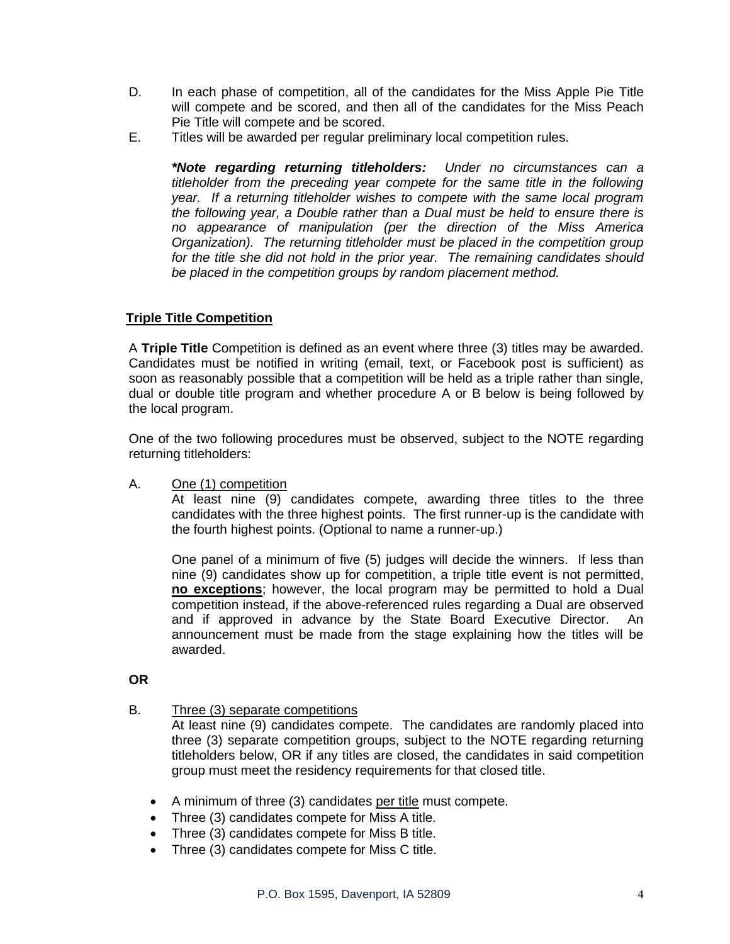- D. In each phase of competition, all of the candidates for the Miss Apple Pie Title will compete and be scored, and then all of the candidates for the Miss Peach Pie Title will compete and be scored.
- E. Titles will be awarded per regular preliminary local competition rules.

*\*Note regarding returning titleholders: Under no circumstances can a titleholder from the preceding year compete for the same title in the following year. If a returning titleholder wishes to compete with the same local program the following year, a Double rather than a Dual must be held to ensure there is no appearance of manipulation (per the direction of the Miss America Organization). The returning titleholder must be placed in the competition group for the title she did not hold in the prior year. The remaining candidates should be placed in the competition groups by random placement method.*

## **Triple Title Competition**

A **Triple Title** Competition is defined as an event where three (3) titles may be awarded. Candidates must be notified in writing (email, text, or Facebook post is sufficient) as soon as reasonably possible that a competition will be held as a triple rather than single, dual or double title program and whether procedure A or B below is being followed by the local program.

One of the two following procedures must be observed, subject to the NOTE regarding returning titleholders:

A. One (1) competition

At least nine (9) candidates compete, awarding three titles to the three candidates with the three highest points. The first runner-up is the candidate with the fourth highest points. (Optional to name a runner-up.)

One panel of a minimum of five (5) judges will decide the winners. If less than nine (9) candidates show up for competition, a triple title event is not permitted, **no exceptions**; however, the local program may be permitted to hold a Dual competition instead, if the above-referenced rules regarding a Dual are observed and if approved in advance by the State Board Executive Director. An announcement must be made from the stage explaining how the titles will be awarded.

### **OR**

B. Three (3) separate competitions

At least nine (9) candidates compete. The candidates are randomly placed into three (3) separate competition groups, subject to the NOTE regarding returning titleholders below, OR if any titles are closed, the candidates in said competition group must meet the residency requirements for that closed title.

- A minimum of three (3) candidates per title must compete.
- Three (3) candidates compete for Miss A title.
- Three (3) candidates compete for Miss B title.
- Three (3) candidates compete for Miss C title.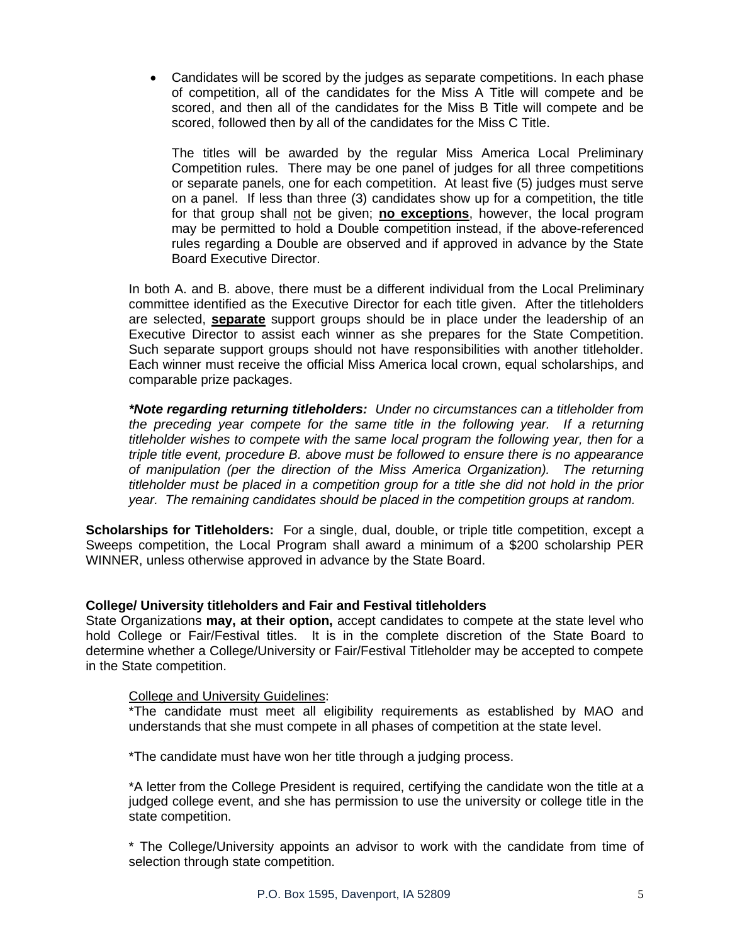• Candidates will be scored by the judges as separate competitions. In each phase of competition, all of the candidates for the Miss A Title will compete and be scored, and then all of the candidates for the Miss B Title will compete and be scored, followed then by all of the candidates for the Miss C Title.

The titles will be awarded by the regular Miss America Local Preliminary Competition rules. There may be one panel of judges for all three competitions or separate panels, one for each competition. At least five (5) judges must serve on a panel. If less than three (3) candidates show up for a competition, the title for that group shall not be given; **no exceptions**, however, the local program may be permitted to hold a Double competition instead, if the above-referenced rules regarding a Double are observed and if approved in advance by the State Board Executive Director.

In both A. and B. above, there must be a different individual from the Local Preliminary committee identified as the Executive Director for each title given. After the titleholders are selected, **separate** support groups should be in place under the leadership of an Executive Director to assist each winner as she prepares for the State Competition. Such separate support groups should not have responsibilities with another titleholder. Each winner must receive the official Miss America local crown, equal scholarships, and comparable prize packages.

*\*Note regarding returning titleholders: Under no circumstances can a titleholder from the preceding year compete for the same title in the following year. If a returning titleholder wishes to compete with the same local program the following year, then for a triple title event, procedure B. above must be followed to ensure there is no appearance of manipulation (per the direction of the Miss America Organization). The returning titleholder must be placed in a competition group for a title she did not hold in the prior year. The remaining candidates should be placed in the competition groups at random.* 

**Scholarships for Titleholders:** For a single, dual, double, or triple title competition, except a Sweeps competition, the Local Program shall award a minimum of a \$200 scholarship PER WINNER, unless otherwise approved in advance by the State Board.

## **College/ University titleholders and Fair and Festival titleholders**

State Organizations **may, at their option,** accept candidates to compete at the state level who hold College or Fair/Festival titles. It is in the complete discretion of the State Board to determine whether a College/University or Fair/Festival Titleholder may be accepted to compete in the State competition.

### College and University Guidelines:

\*The candidate must meet all eligibility requirements as established by MAO and understands that she must compete in all phases of competition at the state level.

\*The candidate must have won her title through a judging process.

\*A letter from the College President is required, certifying the candidate won the title at a judged college event, and she has permission to use the university or college title in the state competition.

\* The College/University appoints an advisor to work with the candidate from time of selection through state competition.